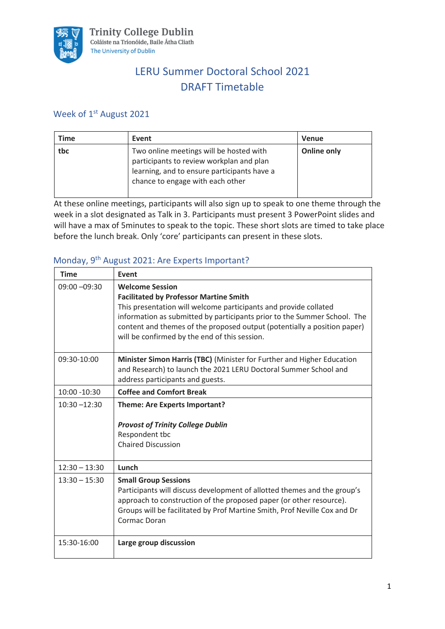

# LERU Summer Doctoral School 2021 DRAFT Timetable

### Week of 1<sup>st</sup> August 2021

| Time | Event                                                                                                                                                                  | <b>Venue</b>       |
|------|------------------------------------------------------------------------------------------------------------------------------------------------------------------------|--------------------|
| tbc  | Two online meetings will be hosted with<br>participants to review workplan and plan<br>learning, and to ensure participants have a<br>chance to engage with each other | <b>Online only</b> |

At these online meetings, participants will also sign up to speak to one theme through the week in a slot designated as Talk in 3. Participants must present 3 PowerPoint slides and will have a max of 5minutes to speak to the topic. These short slots are timed to take place before the lunch break. Only 'core' participants can present in these slots.

## Monday, 9th August 2021: Are Experts Important?

| <b>Time</b>     | <b>Event</b>                                                                                                                                                                                                                                                                                                                                         |
|-----------------|------------------------------------------------------------------------------------------------------------------------------------------------------------------------------------------------------------------------------------------------------------------------------------------------------------------------------------------------------|
| $09:00 - 09:30$ | <b>Welcome Session</b><br><b>Facilitated by Professor Martine Smith</b><br>This presentation will welcome participants and provide collated<br>information as submitted by participants prior to the Summer School. The<br>content and themes of the proposed output (potentially a position paper)<br>will be confirmed by the end of this session. |
| 09:30-10:00     | Minister Simon Harris (TBC) (Minister for Further and Higher Education<br>and Research) to launch the 2021 LERU Doctoral Summer School and<br>address participants and guests.                                                                                                                                                                       |
| 10:00 -10:30    | <b>Coffee and Comfort Break</b>                                                                                                                                                                                                                                                                                                                      |
| $10:30 - 12:30$ | <b>Theme: Are Experts Important?</b><br><b>Provost of Trinity College Dublin</b><br>Respondent tbc<br><b>Chaired Discussion</b>                                                                                                                                                                                                                      |
| $12:30 - 13:30$ | Lunch                                                                                                                                                                                                                                                                                                                                                |
| $13:30 - 15:30$ | <b>Small Group Sessions</b><br>Participants will discuss development of allotted themes and the group's<br>approach to construction of the proposed paper (or other resource).<br>Groups will be facilitated by Prof Martine Smith, Prof Neville Cox and Dr<br>Cormac Doran                                                                          |
| 15:30-16:00     | Large group discussion                                                                                                                                                                                                                                                                                                                               |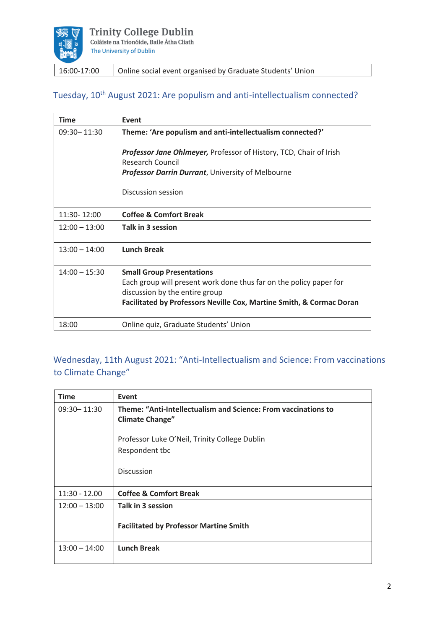

16:00-17:00 | Online social event organised by Graduate Students' Union

### Tuesday, 10<sup>th</sup> August 2021: Are populism and anti-intellectualism connected?

| <b>Time</b>     | Event                                                                                                |
|-----------------|------------------------------------------------------------------------------------------------------|
| 09:30 - 11:30   | Theme: 'Are populism and anti-intellectualism connected?'                                            |
|                 | <b>Professor Jane Ohlmeyer, Professor of History, TCD, Chair of Irish</b><br><b>Research Council</b> |
|                 | <b>Professor Darrin Durrant, University of Melbourne</b>                                             |
|                 | Discussion session                                                                                   |
| 11:30-12:00     | <b>Coffee &amp; Comfort Break</b>                                                                    |
| $12:00 - 13:00$ | Talk in 3 session                                                                                    |
| $13:00 - 14:00$ | <b>Lunch Break</b>                                                                                   |
| $14:00 - 15:30$ | <b>Small Group Presentations</b>                                                                     |
|                 | Each group will present work done thus far on the policy paper for                                   |
|                 | discussion by the entire group                                                                       |
|                 | Facilitated by Professors Neville Cox, Martine Smith, & Cormac Doran                                 |
| 18:00           | Online quiz, Graduate Students' Union                                                                |

## Wednesday, 11th August 2021: "Anti-Intellectualism and Science: From vaccinations to Climate Change"

| <b>Time</b>     | Event                                                                                    |
|-----------------|------------------------------------------------------------------------------------------|
| 09:30 - 11:30   | Theme: "Anti-Intellectualism and Science: From vaccinations to<br><b>Climate Change"</b> |
|                 | Professor Luke O'Neil, Trinity College Dublin<br>Respondent tbc                          |
|                 | Discussion                                                                               |
| $11:30 - 12.00$ | <b>Coffee &amp; Comfort Break</b>                                                        |
| $12:00 - 13:00$ | Talk in 3 session                                                                        |
|                 | <b>Facilitated by Professor Martine Smith</b>                                            |
| $13:00 - 14:00$ | <b>Lunch Break</b>                                                                       |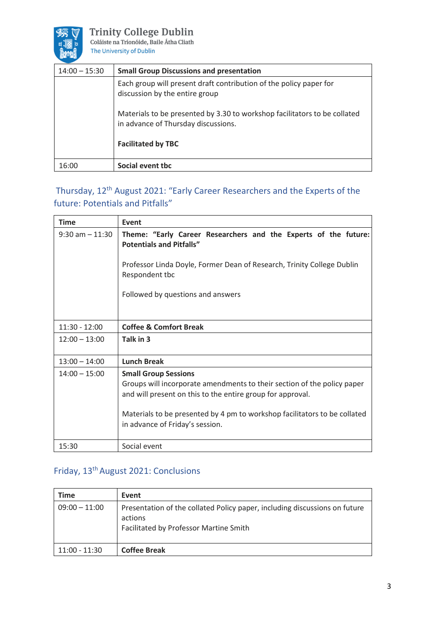

**Trinity College Dublin**<br>Coláiste na Tríonóide, Baile Átha Cliath The University of Dublin

| $14:00 - 15:30$ | <b>Small Group Discussions and presentation</b>                                                                  |
|-----------------|------------------------------------------------------------------------------------------------------------------|
|                 | Each group will present draft contribution of the policy paper for<br>discussion by the entire group             |
|                 | Materials to be presented by 3.30 to workshop facilitators to be collated<br>in advance of Thursday discussions. |
|                 | <b>Facilitated by TBC</b>                                                                                        |
| 16:00           | Social event tbc                                                                                                 |

## Thursday, 12th August 2021: "Early Career Researchers and the Experts of the future: Potentials and Pitfalls"

| <b>Time</b>        | Event                                                                                                                                                                        |
|--------------------|------------------------------------------------------------------------------------------------------------------------------------------------------------------------------|
| $9:30$ am $-11:30$ | Theme: "Early Career Researchers and the Experts of the future:<br><b>Potentials and Pitfalls"</b><br>Professor Linda Doyle, Former Dean of Research, Trinity College Dublin |
|                    | Respondent tbc                                                                                                                                                               |
|                    | Followed by questions and answers                                                                                                                                            |
|                    |                                                                                                                                                                              |
| $11:30 - 12:00$    | <b>Coffee &amp; Comfort Break</b>                                                                                                                                            |
| $12:00 - 13:00$    | Talk in 3                                                                                                                                                                    |
| $13:00 - 14:00$    | <b>Lunch Break</b>                                                                                                                                                           |
| $14:00 - 15:00$    | <b>Small Group Sessions</b>                                                                                                                                                  |
|                    | Groups will incorporate amendments to their section of the policy paper<br>and will present on this to the entire group for approval.                                        |
|                    | Materials to be presented by 4 pm to workshop facilitators to be collated                                                                                                    |
|                    | in advance of Friday's session.                                                                                                                                              |
| 15:30              | Social event                                                                                                                                                                 |

## Friday, 13th August 2021: Conclusions

| <b>Time</b>     | Event                                                                                                                           |
|-----------------|---------------------------------------------------------------------------------------------------------------------------------|
| $09:00 - 11:00$ | Presentation of the collated Policy paper, including discussions on future<br>actions<br>Facilitated by Professor Martine Smith |
| $11:00 - 11:30$ | <b>Coffee Break</b>                                                                                                             |